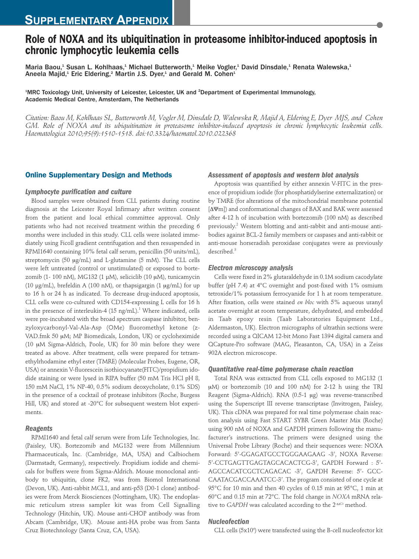# **Role of NOXA and its ubiquitination in proteasome inhibitor-induced apoptosis in chronic lymphocytic leukemia cells**

Maria Baou,<sup>1</sup> Susan L. Kohlhaas,<sup>1</sup> Michael Butterworth,<sup>1</sup> Meike Vogler,<sup>1</sup> David Dinsdale,<sup>1</sup> Renata Walewska,<sup>1</sup> Aneela Majid,<sup>1</sup> Eric Eldering,<sup>2</sup> Martin J.S. Dyer,<sup>1</sup> and Gerald M. Cohen<sup>1</sup>

<sup>1</sup>MRC Toxicology Unit, University of Leicester, Leicester, UK and <sup>2</sup>Department of Experimental Immunology, Academic Medical Centre, Amsterdam, The Netherlands

*Citation: Baou M, Kohlhaas SL, Butterworth M, Vogler M, Dinsdale D, Walewska R, Majid A, Eldering E, Dyer MJS, and Cohen GM. Role of NOXA and its ubiquitination in proteasome inhibitor-induced apoptosis in chronic lymphocytic leukemia cells. Haematologica 2010;95(9):1510-1518. doi:10.3324/haematol.2010.022368*

# **Online Supplementary Design and Methods**

## *Lymphocyte purification and culture*

Blood samples were obtained from CLL patients during routine diagnosis at the Leicester Royal Infirmary after written consent from the patient and local ethical committee approval. Only patients who had not received treatment within the preceding 6 months were included in this study. CLL cells were isolated immediately using Ficoll gradient centrifugation and then resuspended in RPMI1640 containing 10% fetal calf serum, penicillin (50 units/mL), streptomycin (50 µg/mL) and L-glutamine (5 mM). The CLL cells were left untreated (control or unstimulated) or exposed to bortezomib (1- 100 nM), MG132 (1 µM), seliciclib (10 µM), tunicamycin (10  $\mu$ g/mL), brefeldin A (100 nM), or thapsigargin (1  $\mu$ g/mL) for up to 16 h or 24 h as indicated. To decrease drug-induced apoptosis, CLL cells were co-cultured with CD154-expressing L cells for 16 h in the presence of interleukin-4  $(15 \text{ ng/mL})$ .<sup>1</sup> Where indicated, cells were pre-incubated with the broad spectrum caspase inhibitor, benzyloxycarbonyl-Val-Ala-Asp (OMe) fluoromethyl ketone (z-VAD.fmk 50 µM; MP Biomedicals, London, UK) or cycloheximide (10 mM Sigma-Aldrich, Poole, UK) for 30 min before they were treated as above. After treatment, cells were prepared for tetramethylrhodamine ethyl ester (TMRE) (Molecular Probes, Eugene, OR, USA) or annexin V-fluorescein isothiocyanate(FITC)/propidium idodide staining or were lysed in RIPA buffer (50 mM Tris HCl pH 8, 150 mM NaCl, 1% NP-40, 0.5% sodium deoxycholate, 0.1% SDS) in the presence of a cocktail of protease inhibitors (Roche, Burgess Hill, UK) and stored at -20°C for subsequent western blot experiments.

## *Reagents*

RPMI1640 and fetal calf serum were from Life Technologies, Inc. (Paisley, UK). Bortezomib and MG132 were from Millennium Pharmaceuticals, Inc. (Cambridge, MA, USA) and Calbiochem (Darmstadt, Germany), respectively. Propidium iodide and chemicals for buffers were from Sigma-Aldrich. Mouse monoclonal antibody to ubiquitin, clone FK2, was from Biomol International (Devon, UK). Anti-rabbit MCL1, and anti-p53 (D0-1 clone) antibodies were from Merck Biosciences (Nottingham, UK). The endoplasmic reticulum stress sampler kit was from Cell Signalling Technology (Hitchin, UK). Mouse anti-CHOP antibody was from Abcam (Cambridge, UK). Mouse anti-HA probe was from Santa Cruz Biotechnology (Santa Cruz, CA, USA).

#### *Assessment of apoptosis and western blot analysis*

Apoptosis was quantified by either annexin V-FITC in the presence of propidium iodide (for phosphatidylserine externalization) or by TMRE (for alterations of the mitochondrial membrane potential [ΔΨm]) and conformational changes of BAX and BAK were assessed after 4-12 h of incubation with bortezomib (100 nM) as described previously.2 Western blotting and anti-rabbit and anti-mouse antibodies against BCL-2 family members or caspases and anti-rabbit or anti-mouse horseradish peroxidase conjugates were as previously described.<sup>3</sup>

#### *Electron microscopy analysis*

Cells were fixed in 2% glutaraldehyde in 0.1M sodium cacodylate buffer (pH 7.4) at 4°C overnight and post-fixed with 1% osmium tetroxide/1% potassium ferrocyanide for 1 h at room temperature. After fixation, cells were stained *en bloc* with 5% aqueous uranyl acetate overnight at room temperature, dehydrated, and embedded in Taab epoxy resin (Taab Laboratories Equipment Ltd., Aldermaston, UK). Electron micrographs of ultrathin sections were recorded using a QICAM 12-bit Mono Fast 1394 digital camera and QCapture-Pro software (MAG, Pleasanton, CA, USA) in a Zeiss 902A electron microscope.

## *Quantitative real-time polymerase chain reaction*

Total RNA was extracted from CLL cells exposed to MG132 (1  $\mu$ M) or bortezomib (10 and 100 nM) for 2-12 h using the TRI Reagent (Sigma-Aldrich). RNA (0.5-1 µg) was reverse-transcribed using the Superscript III reverse transcriptase (Invitrogen, Paisley, UK). This cDNA was prepared for real time polymerase chain reaction analysis using Fast START SYBR Green Master Mix (Roche) using 900 nM of NOXA and GAPDH primers following the manufacturer's instructions. The primers were designed using the Universal Probe Library (Roche) and their sequences were: NOXA Forward: 5'-GGAGATGCCTGGGAAGAAG -3', NOXA Reverse: 5'-CCTGAGTTGAGTAGCACACTCG-3', GAPDH Forward : 5'- AGCCACATCGCTCAGACAC -3', GAPDH Reverse: 5'- GCC-CAATACGACCAAATCC-3'. The program consisted of one cycle at 95°C for 10 min and then 40 cycles of 0.15 min at 95°C, 1 min at 60°C and 0.15 min at 72°C. The fold change in *NOXA* mRNA relative to *GAPDH* was calculated according to the 2<sup>- $\Delta$ Ct</sup> method.

#### *Nucleofection*

CLL cells (5x10<sup>6</sup>) were transfected using the B-cell nucleofector kit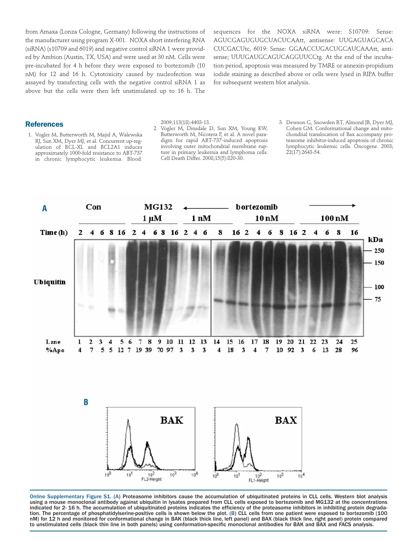from Amaxa (Lonza Cologne, Germany) following the instructions of the manufacturer using program X-001. NOXA short interfering RNA (siRNA) (s10709 and 6019) and negative control siRNA 1 were provided by Ambion (Austin, TX, USA) and were used at 30 nM. Cells were pre-incubated for 4 h before they were exposed to bortezomib (10 nM) for 12 and 16 h. Cytotoxicity caused by nucleofection was assayed by transfecting cells with the negative control siRNA 1 as above but the cells were then left unstimulated up to 16 h. The

sequences for the NOXA siRNA were: S10709: Sense: AGUCGAGUGUGCUACUCAAtt, antisense: UUGAGUAGCACA CUCGACUtc, 6019: Sense: GGAACCUGACUGCAUCAAAtt, antisense; UUUGAUGCAGUCAGGUUCCtg. At the end of the incubation period, apoptosis was measured by TMRE or annexin-propidium iodide staining as described above or cells were lysed in RIPA buffer for subsequent western blot analysis.

#### **References**

1. Vogler M, Butterworth M, Majid A, Walewska RJ, Sun XM, Dyer MJ, et al. Concurrent up-regulation of BCL-XL and BCL2A1 induces approximately 1000-fold resistance to ABT-737 in chronic lymphocytic leukemia. Blood.

2009;113(18):4403-13.

- 2. Vogler M, Dinsdale D, Sun XM, Young KW, Butterworth M, Nicotera P, et al. A novel paradigm for rapid ABT-737-induced apoptosis involving outer mitochondrial membrane rupture in primary leukemia and lymphoma cells. Cell Death Differ. 2008;15(5):820-30.
- 3. Dewson G, Snowden RT, Almond JB, Dyer MJ, Cohen GM. Conformational change and mitochondrial translocation of Bax accompany proteasome inhibitor-induced apoptosis of chronic lymphocytic leukemic cells. Oncogene. 2003; 22(17):2643-54.



Online Supplementary Figure S1. (A) Proteasome inhibitors cause the accumulation of ubiquitinated proteins in CLL cells. Western blot analysis using a mouse monoclonal antibody against ubiquitin in lysates prepared from CLL cells exposed to bortezomib and MG132 at the concentrations indicated for 2- 16 h. The accumulation of ubiquitinated proteins indicates the efficiency of the proteasome inhibitors in inhibiting protein degradation. The percentage of phosphatidylserine-positive cells is shown below the plot. (B) CLL cells from one patient were exposed to bortezomib (100 nM) for 12 h and monitored for conformational change in BAK (black thick line, left panel) and BAX (black thick line, right panel) protein compared to unstimulated cells (black thin line in both panels) using conformation-specific monoclonal antibodies for BAK and BAX and FACS analysis.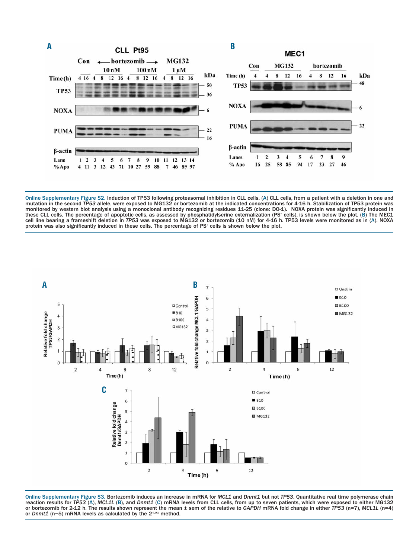

Online Supplementary Figure S2. Induction of TP53 following proteasomal inhibition in CLL cells. (A) CLL cells, from a patient with a deletion in one and mutation in the second TP53 allele, were exposed to MG132 or bortezomib at the indicated concentrations for 4-16 h. Stabilization of TP53 protein was<br>monitored by western blot analysis using a monoclonal antibody recognizi these CLL cells. The percentage of apoptotic cells, as assessed by phosphatidylserine externalization (PS+ cells), is shown below the plot. (B) The MEC1 cell line bearing a frameshift deletion in *TP53* was exposed to MG132 or bortezomib (10 nM) for 4-16 h. TP53 levels were monitored as in (A). NOXA protein was also significantly induced in these cells. The percentage of PS<sup>+</sup> cells is shown below the plot.



Online Supplementary Figure S3. Bortezomib induces an increase in mRNA for *MCL1* and *Dnmt1* but not *TP53*. Quantitative real time polymerase chain reaction results for *TP53* (A), *MCL1L* (B), and *Dnmt1* (C) mRNA levels from CLL cells, from up to seven patients, which were exposed to either MG132 or bortezomib for 2-12 h. The results shown represent the mean  $\pm$  sem of the relative to GAPDH mRNA fold change in either TP53 (n=7), MCL1L (n=4) or Dnmt1 (n=5) mRNA levels as calculated by the  $2^{\text{max}}$  method.